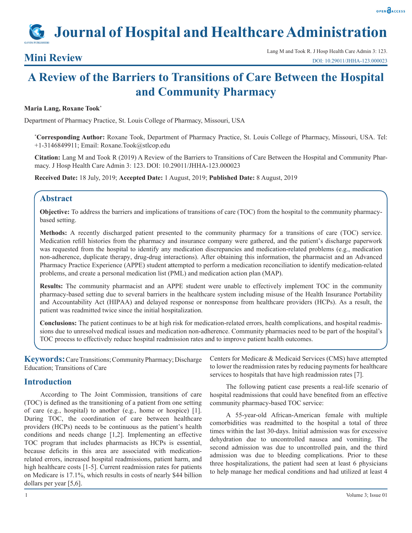# **Journal of Hospital and Healthcare Administration**

## **A Review of the Barriers to Transitions of Care Between the Hospital and Community Pharmacy**

#### **Maria Lang, Roxane Took\***

Department of Pharmacy Practice, St. Louis College of Pharmacy, Missouri, USA

**\* Corresponding Author:** Roxane Took, Department of Pharmacy Practice, St. Louis College of Pharmacy, Missouri, USA. Tel: +1-3146849911; Email: Roxane.Took@stlcop.edu

**Citation:** Lang M and Took R (2019) A Review of the Barriers to Transitions of Care Between the Hospital and Community Pharmacy. J Hosp Health Care Admin 3: 123. DOI: 10.29011/JHHA-123.000023

**Received Date:** 18 July, 2019; **Accepted Date:** 1 August, 2019; **Published Date:** 8 August, 2019

#### **Abstract**

**Objective:** To address the barriers and implications of transitions of care (TOC) from the hospital to the community pharmacybased setting.

**Methods:** A recently discharged patient presented to the community pharmacy for a transitions of care (TOC) service. Medication refill histories from the pharmacy and insurance company were gathered, and the patient's discharge paperwork was requested from the hospital to identify any medication discrepancies and medication-related problems (e.g., medication non-adherence, duplicate therapy, drug-drug interactions). After obtaining this information, the pharmacist and an Advanced Pharmacy Practice Experience (APPE) student attempted to perform a medication reconciliation to identify medication-related problems, and create a personal medication list (PML) and medication action plan (MAP).

**Results:** The community pharmacist and an APPE student were unable to effectively implement TOC in the community pharmacy-based setting due to several barriers in the healthcare system including misuse of the Health Insurance Portability and Accountability Act (HIPAA) and delayed response or nonresponse from healthcare providers (HCPs). As a result, the patient was readmitted twice since the initial hospitalization.

**Conclusions:** The patient continues to be at high risk for medication-related errors, health complications, and hospital readmissions due to unresolved medical issues and medication non-adherence. Community pharmacies need to be part of the hospital's TOC process to effectively reduce hospital readmission rates and to improve patient health outcomes.

**Keywords:** Care Transitions; Community Pharmacy; Discharge Education; Transitions of Care

### **Introduction**

According to The Joint Commission, transitions of care (TOC) is defined as the transitioning of a patient from one setting of care (e.g., hospital) to another (e.g., home or hospice) [1]. During TOC, the coordination of care between healthcare providers (HCPs) needs to be continuous as the patient's health conditions and needs change [1,2]. Implementing an effective TOC program that includes pharmacists as HCPs is essential, because deficits in this area are associated with medicationrelated errors, increased hospital readmissions, patient harm, and high healthcare costs [1-5]. Current readmission rates for patients on Medicare is 17.1%, which results in costs of nearly \$44 billion dollars per year [5,6].

Centers for Medicare & Medicaid Services (CMS) have attempted to lower the readmission rates by reducing payments for healthcare services to hospitals that have high readmission rates [7].

The following patient case presents a real-life scenario of hospital readmissions that could have benefited from an effective community pharmacy-based TOC service:

A 55-year-old African-American female with multiple comorbidities was readmitted to the hospital a total of three times within the last 30-days. Initial admission was for excessive dehydration due to uncontrolled nausea and vomiting. The second admission was due to uncontrolled pain, and the third admission was due to bleeding complications. Prior to these three hospitalizations, the patient had seen at least 6 physicians to help manage her medical conditions and had utilized at least 4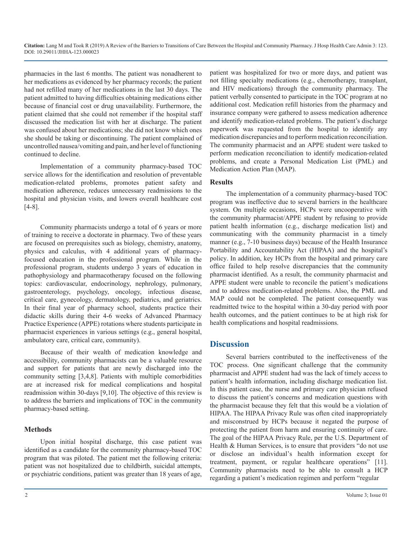pharmacies in the last 6 months. The patient was nonadherent to her medications as evidenced by her pharmacy records; the patient had not refilled many of her medications in the last 30 days. The patient admitted to having difficulties obtaining medications either because of financial cost or drug unavailability. Furthermore, the patient claimed that she could not remember if the hospital staff discussed the medication list with her at discharge. The patient was confused about her medications; she did not know which ones she should be taking or discontinuing. The patient complained of uncontrolled nausea/vomiting and pain, and her level of functioning continued to decline.

Implementation of a community pharmacy-based TOC service allows for the identification and resolution of preventable medication-related problems, promotes patient safety and medication adherence, reduces unnecessary readmissions to the hospital and physician visits, and lowers overall healthcare cost [4-8].

Community pharmacists undergo a total of 6 years or more of training to receive a doctorate in pharmacy. Two of these years are focused on prerequisites such as biology, chemistry, anatomy, physics and calculus, with 4 additional years of pharmacyfocused education in the professional program. While in the professional program, students undergo 3 years of education in pathophysiology and pharmacotherapy focused on the following topics: cardiovascular, endocrinology, nephrology, pulmonary, gastroenterology, psychology, oncology, infectious disease, critical care, gynecology, dermatology, pediatrics, and geriatrics. In their final year of pharmacy school, students practice their didactic skills during their 4-6 weeks of Advanced Pharmacy Practice Experience (APPE) rotations where students participate in pharmacist experiences in various settings (e.g., general hospital, ambulatory care, critical care, community).

Because of their wealth of medication knowledge and accessibility, community pharmacists can be a valuable resource and support for patients that are newly discharged into the community setting [3,4,8]. Patients with multiple comorbidities are at increased risk for medical complications and hospital readmission within 30-days [9,10]. The objective of this review is to address the barriers and implications of TOC in the community pharmacy-based setting.

#### **Methods**

Upon initial hospital discharge, this case patient was identified as a candidate for the community pharmacy-based TOC program that was piloted. The patient met the following criteria: patient was not hospitalized due to childbirth, suicidal attempts, or psychiatric conditions, patient was greater than 18 years of age, patient was hospitalized for two or more days, and patient was not filling specialty medications (e.g., chemotherapy, transplant, and HIV medications) through the community pharmacy. The patient verbally consented to participate in the TOC program at no additional cost. Medication refill histories from the pharmacy and insurance company were gathered to assess medication adherence and identify medication-related problems. The patient's discharge paperwork was requested from the hospital to identify any medication discrepancies and to perform medication reconciliation. The community pharmacist and an APPE student were tasked to perform medication reconciliation to identify medication-related problems, and create a Personal Medication List (PML) and Medication Action Plan (MAP).

#### **Results**

The implementation of a community pharmacy-based TOC program was ineffective due to several barriers in the healthcare system. On multiple occasions, HCPs were uncooperative with the community pharmacist/APPE student by refusing to provide patient health information (e.g., discharge medication list) and communicating with the community pharmacist in a timely manner (e.g., 7-10 business days) because of the Health Insurance Portability and Accountability Act (HIPAA) and the hospital's policy. In addition, key HCPs from the hospital and primary care office failed to help resolve discrepancies that the community pharmacist identified. As a result, the community pharmacist and APPE student were unable to reconcile the patient's medications and to address medication-related problems. Also, the PML and MAP could not be completed. The patient consequently was readmitted twice to the hospital within a 30-day period with poor health outcomes, and the patient continues to be at high risk for health complications and hospital readmissions.

### **Discussion**

Several barriers contributed to the ineffectiveness of the TOC process. One significant challenge that the community pharmacist and APPE student had was the lack of timely access to patient's health information, including discharge medication list. In this patient case, the nurse and primary care physician refused to discuss the patient's concerns and medication questions with the pharmacist because they felt that this would be a violation of HIPAA. The HIPAA Privacy Rule was often cited inappropriately and misconstrued by HCPs because it negated the purpose of protecting the patient from harm and ensuring continuity of care. The goal of the HIPAA Privacy Rule, per the U.S. Department of Health & Human Services, is to ensure that providers "do not use or disclose an individual's health information except for treatment, payment, or regular healthcare operations" [11]. Community pharmacists need to be able to consult a HCP regarding a patient's medication regimen and perform "regular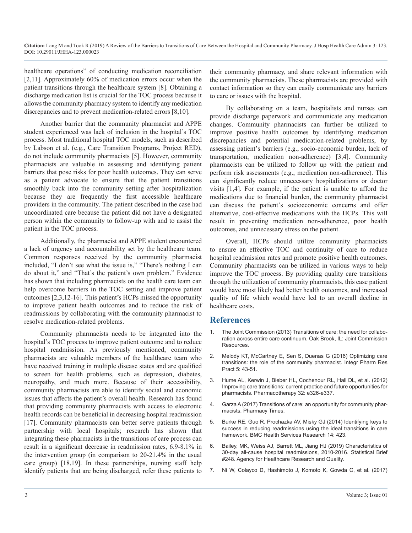healthcare operations" of conducting medication reconciliation [2,11]. Approximately 60% of medication errors occur when the patient transitions through the healthcare system [8]. Obtaining a discharge medication list is crucial for the TOC process because it allows the community pharmacy system to identify any medication discrepancies and to prevent medication-related errors [8,10].

Another barrier that the community pharmacist and APPE student experienced was lack of inclusion in the hospital's TOC process. Most traditional hospital TOC models, such as described by Labson et al. (e.g., Care Transition Programs, Project RED), do not include community pharmacists [5]. However, community pharmacists are valuable in assessing and identifying patient barriers that pose risks for poor health outcomes. They can serve as a patient advocate to ensure that the patient transitions smoothly back into the community setting after hospitalization because they are frequently the first accessible healthcare providers in the community. The patient described in the case had uncoordinated care because the patient did not have a designated person within the community to follow-up with and to assist the patient in the TOC process.

Additionally, the pharmacist and APPE student encountered a lack of urgency and accountability set by the healthcare team. Common responses received by the community pharmacist included, "I don't see what the issue is," "There's nothing I can do about it," and "That's the patient's own problem." Evidence has shown that including pharmacists on the health care team can help overcome barriers in the TOC setting and improve patient outcomes [2,3,12-16]. This patient's HCPs missed the opportunity to improve patient health outcomes and to reduce the risk of readmissions by collaborating with the community pharmacist to resolve medication-related problems.

Community pharmacists needs to be integrated into the hospital's TOC process to improve patient outcome and to reduce hospital readmission. As previously mentioned, community pharmacists are valuable members of the healthcare team who have received training in multiple disease states and are qualified to screen for health problems, such as depression, diabetes, neuropathy, and much more. Because of their accessibility, community pharmacists are able to identify social and economic issues that affects the patient's overall health. Research has found [that providing community pharmacists with access to electronic](https://www.pharmacytimes.com/publications/issue/2017/december2017/transition-of-care-an-opportunity-for-community-pharmacists)  health records can be beneficial in decreasing hospital readmission [17]. Community pharmacists can better serve patients through partnership with local hospitals; research has shown that integrating these pharmacists in the transitions of care process can result in a significant decrease in readmission rates, 6.9-8.1% in the intervention group (in comparison to 20-21.4% in the usual care group) [18,19]. In these partnerships, nursing staff help identify patients that are being discharged, refer these patients to

their community pharmacy, and share relevant information with the community pharmacists. These pharmacists are provided with contact information so they can easily communicate any barriers to care or issues with the hospital.

By collaborating on a team, hospitalists and nurses can provide discharge paperwork and communicate any medication changes. Community pharmacists can further be utilized to improve positive health outcomes by identifying medication discrepancies and potential medication-related problems, by assessing patient's barriers (e.g., socio-economic burden, lack of transportation, medication non-adherence) [3,4]. Community pharmacists can be utilized to follow up with the patient and perform risk assessments (e.g., medication non-adherence). This can significantly reduce unnecessary hospitalizations or doctor visits [1,4]. For example, if the patient is unable to afford the medications due to financial burden, the community pharmacist can discuss the patient's socioeconomic concerns and offer alternative, cost-effective medications with the HCPs. This will result in preventing medication non-adherence, poor health outcomes, and unnecessary stress on the patient.

Overall, HCPs should utilize community pharmacists to ensure an effective TOC and continuity of care to reduce hospital readmission rates and promote positive health outcomes. Community pharmacists can be utilized in various ways to help improve the TOC process. By providing quality care transitions through the utilization of community pharmacists, this case patient would have most likely had better health outcomes, and increased quality of life which would have led to an overall decline in healthcare costs.

### **References**

- 1. [The Joint Commission \(2013\) Transitions of care: the need for collabo](https://www.jointcommission.org/assets/1/6/TOC_Hot_Topics.pdf)[ration across entire care continuum. Oak Brook, IL: Joint Commission](https://www.jointcommission.org/assets/1/6/TOC_Hot_Topics.pdf) [Resources.](https://www.jointcommission.org/assets/1/6/TOC_Hot_Topics.pdf)
- 2. [Melody KT, McCartney E, Sen S, Duenas G \(2016\) Optimizing care](https://www.ncbi.nlm.nih.gov/pmc/articles/PMC5741037/) [transitions: the role of the community pharmacist. Integr Pharm Res](https://www.ncbi.nlm.nih.gov/pmc/articles/PMC5741037/) [Pract 5: 43-51.](https://www.ncbi.nlm.nih.gov/pmc/articles/PMC5741037/)
- 3. [Hume AL, Kerwin J, Bieber HL, Cochenour RL, Hall DL, et al. \(2012\)](https://www.ncbi.nlm.nih.gov/pubmed/23108810) [Improving care transitions: current practice and future opportunities for](https://www.ncbi.nlm.nih.gov/pubmed/23108810) [pharmacists. Pharmacotherapy 32: e326-e337.](https://www.ncbi.nlm.nih.gov/pubmed/23108810)
- 4. [Garza A \(2017\) Transitions of care: an opportunity for community phar](https://www.pharmacytimes.com/publications/issue/2017/december2017/transition-of-care-an-opportunity-for-community-pharmacists)macists. Pharmacy Times.
- 5. [Burke RE, Guo R, Prochazka AV, Misky GJ \(2014\) Identifying keys to](https://bmchealthservres.biomedcentral.com/articles/10.1186/1472-6963-14-423) [success in reducing readmissions using the ideal transitions in care](https://bmchealthservres.biomedcentral.com/articles/10.1186/1472-6963-14-423) [framework. BMC Health Services Research 14: 423.](https://bmchealthservres.biomedcentral.com/articles/10.1186/1472-6963-14-423)
- 6. [Bailey, MK, Weiss AJ, Barrett ML, Jiang HJ \(2019\) Characteristics of](https://www.hcup-us.ahrq.gov/reports/statbriefs/sb248-Hospital-Readmissions-2010-2016.pdf) [30-day all-cause hospital readmissions, 2010-2016. Statistical Brief](https://www.hcup-us.ahrq.gov/reports/statbriefs/sb248-Hospital-Readmissions-2010-2016.pdf) [#248. Agency for Healthcare Research and Quality.](https://www.hcup-us.ahrq.gov/reports/statbriefs/sb248-Hospital-Readmissions-2010-2016.pdf)
- 7. [Ni W, Colayco D, Hashimoto J, Komoto K, Gowda C, et al. \(2017\)](https://www.ncbi.nlm.nih.gov/pubmed/28385023)